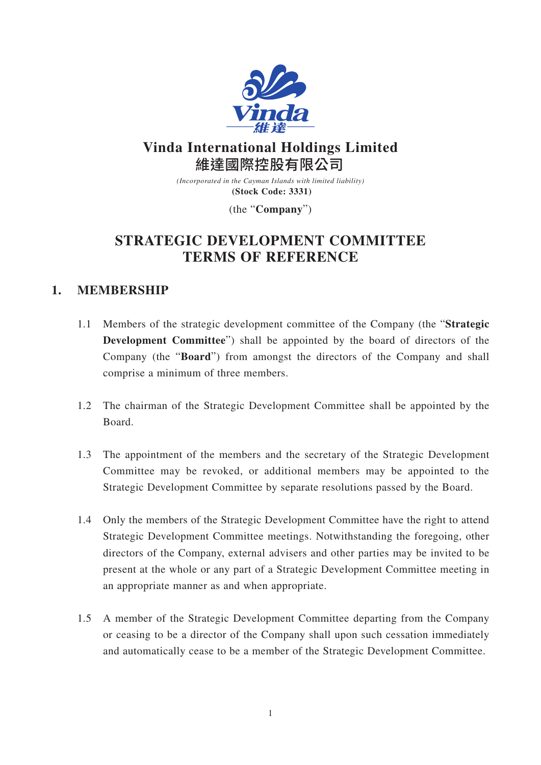

# **Vinda International Holdings Limited** 維達國際控股有限公司

*(Incorporated in the Cayman Islands with limited liability)* **(Stock Code: 3331)**

(the "**Company**")

# **STRATEGIC DEVELOPMENT COMMITTEE TERMS OF REFERENCE**

## **1. MEMBERSHIP**

- 1.1 Members of the strategic development committee of the Company (the "**Strategic Development Committee**") shall be appointed by the board of directors of the Company (the "**Board**") from amongst the directors of the Company and shall comprise a minimum of three members.
- 1.2 The chairman of the Strategic Development Committee shall be appointed by the Board.
- 1.3 The appointment of the members and the secretary of the Strategic Development Committee may be revoked, or additional members may be appointed to the Strategic Development Committee by separate resolutions passed by the Board.
- 1.4 Only the members of the Strategic Development Committee have the right to attend Strategic Development Committee meetings. Notwithstanding the foregoing, other directors of the Company, external advisers and other parties may be invited to be present at the whole or any part of a Strategic Development Committee meeting in an appropriate manner as and when appropriate.
- 1.5 A member of the Strategic Development Committee departing from the Company or ceasing to be a director of the Company shall upon such cessation immediately and automatically cease to be a member of the Strategic Development Committee.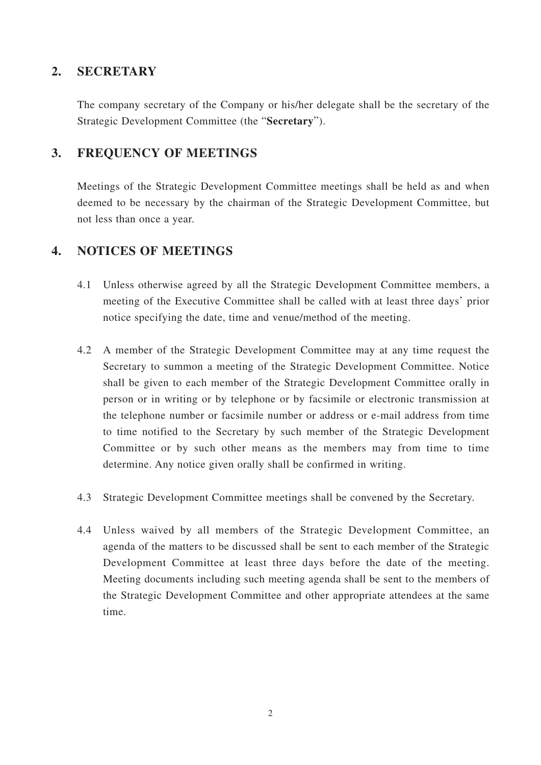#### **2. SECRETARY**

The company secretary of the Company or his/her delegate shall be the secretary of the Strategic Development Committee (the "**Secretary**").

## **3. FREQUENCY OF MEETINGS**

Meetings of the Strategic Development Committee meetings shall be held as and when deemed to be necessary by the chairman of the Strategic Development Committee, but not less than once a year.

## **4. NOTICES OF MEETINGS**

- 4.1 Unless otherwise agreed by all the Strategic Development Committee members, a meeting of the Executive Committee shall be called with at least three days' prior notice specifying the date, time and venue/method of the meeting.
- 4.2 A member of the Strategic Development Committee may at any time request the Secretary to summon a meeting of the Strategic Development Committee. Notice shall be given to each member of the Strategic Development Committee orally in person or in writing or by telephone or by facsimile or electronic transmission at the telephone number or facsimile number or address or e-mail address from time to time notified to the Secretary by such member of the Strategic Development Committee or by such other means as the members may from time to time determine. Any notice given orally shall be confirmed in writing.
- 4.3 Strategic Development Committee meetings shall be convened by the Secretary.
- 4.4 Unless waived by all members of the Strategic Development Committee, an agenda of the matters to be discussed shall be sent to each member of the Strategic Development Committee at least three days before the date of the meeting. Meeting documents including such meeting agenda shall be sent to the members of the Strategic Development Committee and other appropriate attendees at the same time.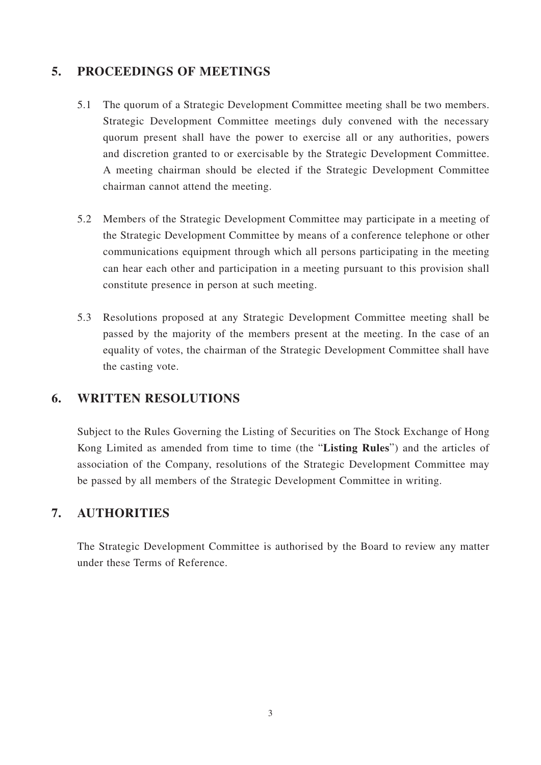## **5. PROCEEDINGS OF MEETINGS**

- 5.1 The quorum of a Strategic Development Committee meeting shall be two members. Strategic Development Committee meetings duly convened with the necessary quorum present shall have the power to exercise all or any authorities, powers and discretion granted to or exercisable by the Strategic Development Committee. A meeting chairman should be elected if the Strategic Development Committee chairman cannot attend the meeting.
- 5.2 Members of the Strategic Development Committee may participate in a meeting of the Strategic Development Committee by means of a conference telephone or other communications equipment through which all persons participating in the meeting can hear each other and participation in a meeting pursuant to this provision shall constitute presence in person at such meeting.
- 5.3 Resolutions proposed at any Strategic Development Committee meeting shall be passed by the majority of the members present at the meeting. In the case of an equality of votes, the chairman of the Strategic Development Committee shall have the casting vote.

## **6. WRITTEN RESOLUTIONS**

Subject to the Rules Governing the Listing of Securities on The Stock Exchange of Hong Kong Limited as amended from time to time (the "**Listing Rules**") and the articles of association of the Company, resolutions of the Strategic Development Committee may be passed by all members of the Strategic Development Committee in writing.

#### **7. AUTHORITIES**

The Strategic Development Committee is authorised by the Board to review any matter under these Terms of Reference.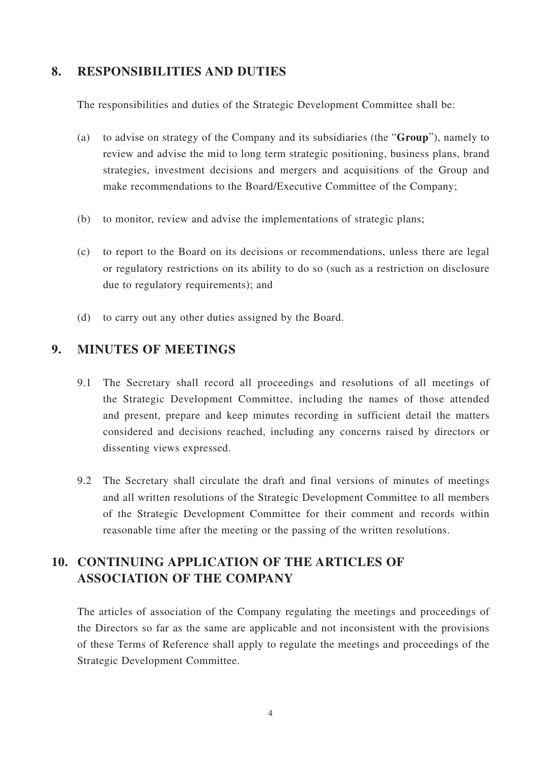#### **8. RESPONSIBILITIES AND DUTIES**

The responsibilities and duties of the Strategic Development Committee shall be:

- (a) to advise on strategy of the Company and its subsidiaries (the "**Group**"), namely to review and advise the mid to long term strategic positioning, business plans, brand strategies, investment decisions and mergers and acquisitions of the Group and make recommendations to the Board/Executive Committee of the Company;
- (b) to monitor, review and advise the implementations of strategic plans;
- (c) to report to the Board on its decisions or recommendations, unless there are legal or regulatory restrictions on its ability to do so (such as a restriction on disclosure due to regulatory requirements); and
- (d) to carry out any other duties assigned by the Board.

#### **9. MINUTES OF MEETINGS**

- 9.1 The Secretary shall record all proceedings and resolutions of all meetings of the Strategic Development Committee, including the names of those attended and present, prepare and keep minutes recording in sufficient detail the matters considered and decisions reached, including any concerns raised by directors or dissenting views expressed.
- 9.2 The Secretary shall circulate the draft and final versions of minutes of meetings and all written resolutions of the Strategic Development Committee to all members of the Strategic Development Committee for their comment and records within reasonable time after the meeting or the passing of the written resolutions.

# **10. CONTINUING APPLICATION OF THE ARTICLES OF ASSOCIATION OF THE COMPANY**

The articles of association of the Company regulating the meetings and proceedings of the Directors so far as the same are applicable and not inconsistent with the provisions of these Terms of Reference shall apply to regulate the meetings and proceedings of the Strategic Development Committee.